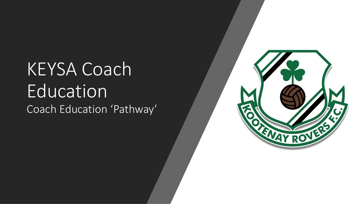## KEYSA Coach Education Coach Education 'Pathway'